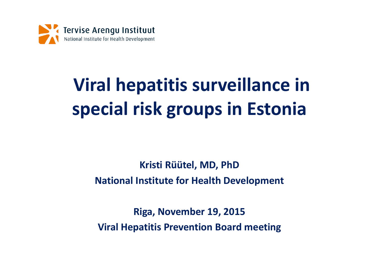

# **Viral hepatitis surveillance in special risk groups in Estonia**

#### **Kristi Rüütel, MD, PhD National Institute for Health Development**

**Riga, November 19, 2015 Viral Hepatitis Prevention Board meeting**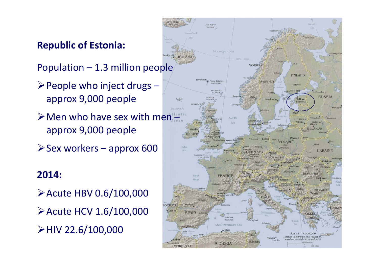#### **Republic of Estonia:**

Population – 1.3 million people

- $\triangleright$  People who inject drugs approx 9,000 people
- $\triangleright$  Men who have sex with men approx 9,000 people
- $\triangleright$  Sex workers approx 600

#### **2014:**

Acute HBV 0.6/100,000 Acute HCV 1.6/100,000 HIV 22.6/100,000

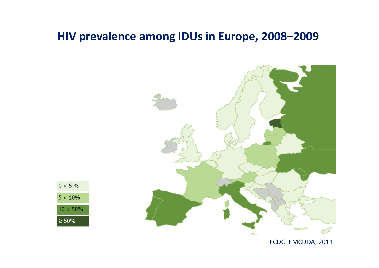#### **HIV prevalence among IDUs in Europe, 2008–2009**





ECDC, EMCDDA, 2011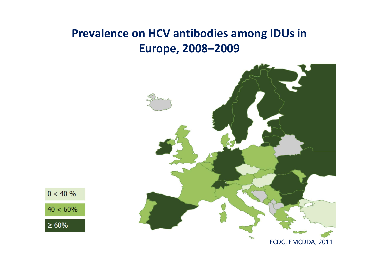### **Prevalence on HCV antibodies among IDUs in Europe, 2008–2009**





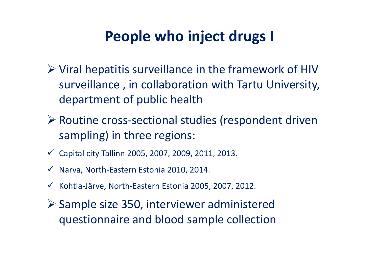# **People who inject drugs I**

- Viral hepatitis surveillance in the framework of HIV surveillance , in collaboration with Tartu University, department of public health
- Routine cross‐sectional studies (respondent driven sampling) in three regions:
- $\checkmark$  Capital city Tallinn 2005, 2007, 2009, 2011, 2013.
- Narva, North‐Eastern Estonia 2010, 2014.
- Kohtla‐Järve, North‐Eastern Estonia 2005, 2007, 2012.
- Sample size 350, interviewer administered questionnaire and blood sample collection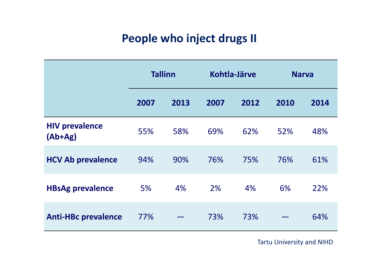### **People who inject drugs II**

|                                    | <b>Tallinn</b> |      | Kohtla-Järve |      | <b>Narva</b> |      |
|------------------------------------|----------------|------|--------------|------|--------------|------|
|                                    | 2007           | 2013 | 2007         | 2012 | 2010         | 2014 |
| <b>HIV prevalence</b><br>$(Ab+Ag)$ | 55%            | 58%  | 69%          | 62%  | 52%          | 48%  |
| <b>HCV Ab prevalence</b>           | 94%            | 90%  | 76%          | 75%  | 76%          | 61%  |
| <b>HBsAg prevalence</b>            | 5%             | 4%   | 2%           | 4%   | 6%           | 22%  |
| <b>Anti-HBc prevalence</b>         | 77%            |      | 73%          | 73%  |              | 64%  |

Tartu University and NIHD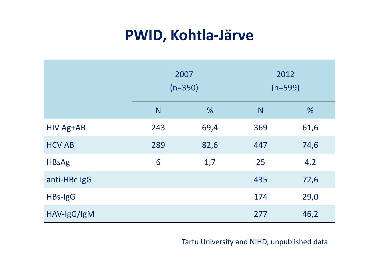# **PWID, Kohtla‐Järve**

|                  | 2007<br>$(n=350)$ |      | 2012<br>$(n=599)$ |      |
|------------------|-------------------|------|-------------------|------|
|                  | N                 | %    | N                 | %    |
| <b>HIV Ag+AB</b> | 243               | 69,4 | 369               | 61,6 |
| <b>HCV AB</b>    | 289               | 82,6 | 447               | 74,6 |
| <b>HBsAg</b>     | 6                 | 1,7  | 25                | 4,2  |
| anti-HBc IgG     |                   |      | 435               | 72,6 |
| HBs-IgG          |                   |      | 174               | 29,0 |
| HAV-IgG/IgM      |                   |      | 277               | 46,2 |

Tartu University and NIHD, unpublished data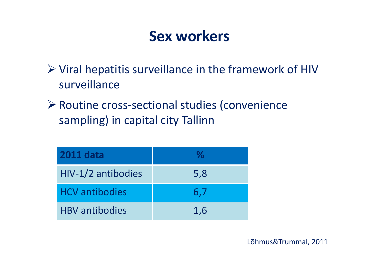### **Sex workers**

- Viral hepatitis surveillance in the framework of HIV surveillance
- Routine cross‐sectional studies (convenience sampling) in capital city Tallinn

| <b>2011 data</b>      | $\mathbf{v}_0$ |
|-----------------------|----------------|
| HIV-1/2 antibodies    | 5,8            |
| <b>HCV</b> antibodies | 6,7            |
| <b>HBV</b> antibodies | 1,6            |

Lõhmus&Trummal, 2011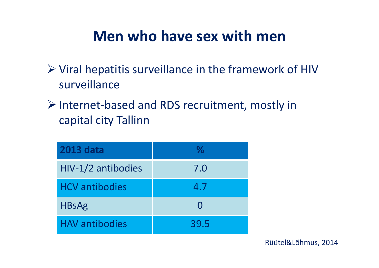### **Men who have sex with men**

- Viral hepatitis surveillance in the framework of HIV surveillance
- Internet‐based and RDS recruitment, mostly in capital city Tallinn

| <b>2013 data</b>      | $\%$              |
|-----------------------|-------------------|
| HIV-1/2 antibodies    | 7.0               |
| <b>HCV</b> antibodies | 4.7               |
| <b>HBsAg</b>          | $\mathbf{\Omega}$ |
| <b>HAV antibodies</b> | 39.5              |

Rüütel&Lõhmus, 2014